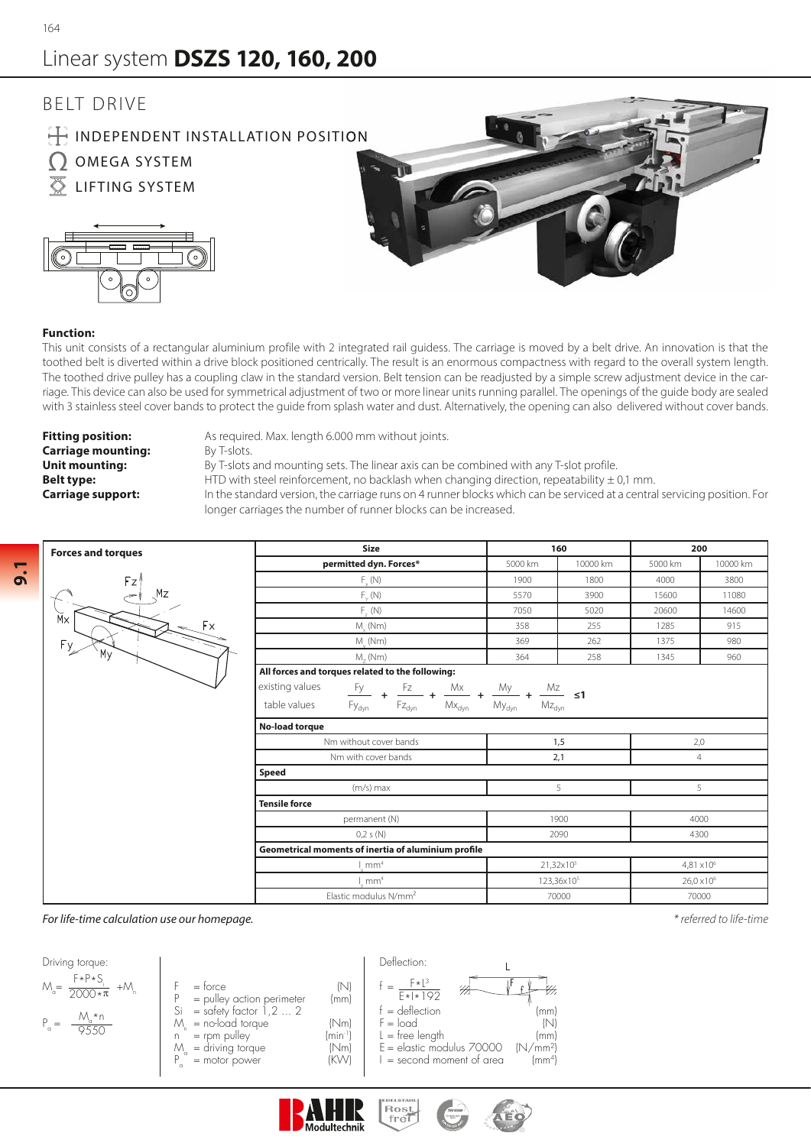## Linear system **DSZS 120, 160, 200**



## **Function:**

**9.1**

This unit consists of a rectangular aluminium profile with 2 integrated rail guidess. The carriage is moved by a belt drive. An innovation is that the toothed belt is diverted within a drive block positioned centrically. The result is an enormous compactness with regard to the overall system length. The toothed drive pulley has a coupling claw in the standard version. Belt tension can be readjusted by a simple screw adjustment device in the carriage. This device can also be used for symmetrical adjustment of two or more linear units running parallel. The openings of the guide body are sealed with 3 stainless steel cover bands to protect the guide from splash water and dust. Alternatively, the opening can also delivered without cover bands.

**Carriage mounting:** By T-slots.

**Fitting position:** As required. Max. length 6.000 mm without joints.

**Unit mounting:** By T-slots and mounting sets. The linear axis can be combined with any T-slot profile.

**Belt type:** HTD with steel reinforcement, no backlash when changing direction, repeatability ± 0,1 mm.

**Carriage support:** In the standard version, the carriage runs on 4 runner blocks which can be serviced at a central servicing position. For longer carriages the number of runner blocks can be increased.

| <b>Forces and torques</b> | <b>Size</b>                                                             |  |  |                        | 160                                                                                   |                       | 200     |          |
|---------------------------|-------------------------------------------------------------------------|--|--|------------------------|---------------------------------------------------------------------------------------|-----------------------|---------|----------|
|                           | permitted dyn. Forces*                                                  |  |  |                        | 5000 km                                                                               | 10000 km              | 5000 km | 10000 km |
| Fz'                       | $F_{y}(N)$                                                              |  |  | 1900                   | 1800                                                                                  | 4000                  | 3800    |          |
| Mz<br>⋗                   | $F_{v}(N)$                                                              |  |  |                        | 5570                                                                                  | 3900                  | 15600   | 11080    |
|                           | $F_{\alpha}(N)$                                                         |  |  |                        | 7050                                                                                  | 5020                  | 20600   | 14600    |
| Мx<br>Fx                  | M (Nm)                                                                  |  |  |                        | 358                                                                                   | 255                   | 1285    | 915      |
| Fy                        | $M_{\odot}$ (Nm)                                                        |  |  |                        | 369                                                                                   | 262                   | 1375    | 980      |
| My                        | $M2$ (Nm)                                                               |  |  | 364                    | 258                                                                                   | 1345                  | 960     |          |
|                           | All forces and torques related to the following:                        |  |  |                        |                                                                                       |                       |         |          |
|                           | existing values                                                         |  |  |                        | $\frac{Fy}{y}$ + $\frac{Fz}{z}$ + $\frac{Mx}{x}$ + $\frac{My}{x}$ + $\frac{Mz}{z}$ ≤1 |                       |         |          |
|                           | table values<br>$Mx_{dyn}$<br>Fy <sub>dyn</sub><br>$Fz_{dyn}$           |  |  |                        | My <sub>dyn</sub><br>$Mz_{dyn}$                                                       |                       |         |          |
|                           | No-load torque                                                          |  |  |                        |                                                                                       |                       |         |          |
|                           | Nm without cover bands<br>Nm with cover bands                           |  |  | 1,5                    |                                                                                       | 2,0                   |         |          |
|                           |                                                                         |  |  | 2,1                    |                                                                                       | $\overline{4}$        |         |          |
|                           | Speed                                                                   |  |  |                        |                                                                                       |                       |         |          |
|                           | $(m/s)$ max                                                             |  |  | 5                      |                                                                                       | 5                     |         |          |
|                           | <b>Tensile force</b>                                                    |  |  |                        |                                                                                       |                       |         |          |
|                           | permanent (N)<br>0.2 s(N)                                               |  |  | 1900                   |                                                                                       | 4000                  |         |          |
|                           |                                                                         |  |  | 2090                   |                                                                                       | 4300                  |         |          |
|                           | Geometrical moments of inertia of aluminium profile                     |  |  |                        |                                                                                       |                       |         |          |
|                           | mm <sup>4</sup><br>mm <sup>4</sup><br>Elastic modulus N/mm <sup>2</sup> |  |  | 21,32x10 <sup>5</sup>  |                                                                                       | 4,81 x10 <sup>6</sup> |         |          |
|                           |                                                                         |  |  | 123,36x10 <sup>5</sup> |                                                                                       | $26,0 \times 10^6$    |         |          |
|                           |                                                                         |  |  | 70000                  |                                                                                       | 70000                 |         |          |

Rost<br>frei

*For life-time calculation use our homepage.*

*\* referred to life-time*



**Modultechnik**